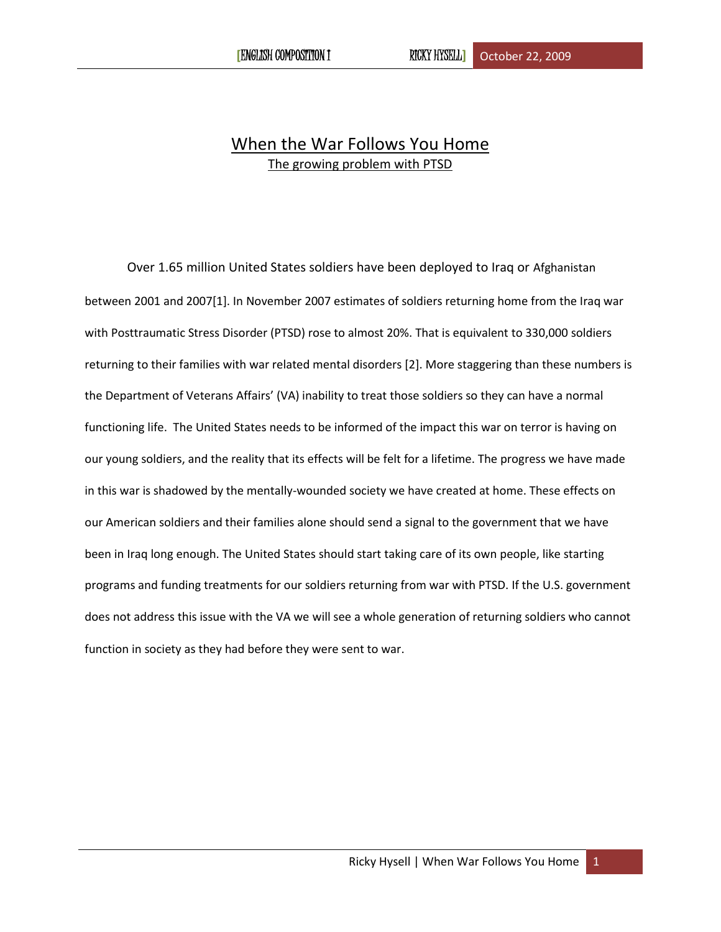## When the War Follows You Home The growing problem with PTSD

Over 1.65 million United States soldiers have been deployed to Iraq or Afghanistan between 2001 and 2007[1]. In November 2007 estimates of soldiers returning home from the Iraq war with Posttraumatic Stress Disorder (PTSD) rose to almost 20%. That is equivalent to 330,000 soldiers returning to their families with war related mental disorders [2]. More staggering than these numbers is the Department of Veterans Affairs' (VA) inability to treat those soldiers so they can have a normal functioning life. The United States needs to be informed of the impact this war on terror is having on our young soldiers, and the reality that its effects will be felt for a lifetime. The progress we have made in this war is shadowed by the mentally-wounded society we have created at home. These effects on our American soldiers and their families alone should send a signal to the government that we have been in Iraq long enough. The United States should start taking care of its own people, like starting programs and funding treatments for our soldiers returning from war with PTSD. If the U.S. government does not address this issue with the VA we will see a whole generation of returning soldiers who cannot function in society as they had before they were sent to war.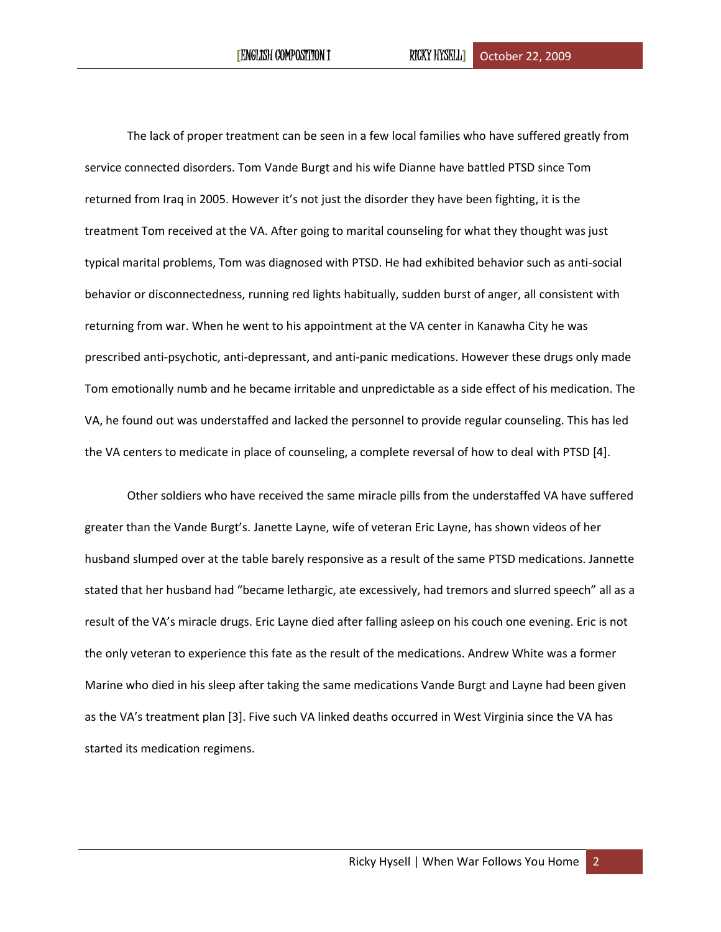The lack of proper treatment can be seen in a few local families who have suffered greatly from service connected disorders. Tom Vande Burgt and his wife Dianne have battled PTSD since Tom returned from Iraq in 2005. However it's not just the disorder they have been fighting, it is the treatment Tom received at the VA. After going to marital counseling for what they thought was just typical marital problems, Tom was diagnosed with PTSD. He had exhibited behavior such as anti-social behavior or disconnectedness, running red lights habitually, sudden burst of anger, all consistent with returning from war. When he went to his appointment at the VA center in Kanawha City he was prescribed anti-psychotic, anti-depressant, and anti-panic medications. However these drugs only made Tom emotionally numb and he became irritable and unpredictable as a side effect of his medication. The VA, he found out was understaffed and lacked the personnel to provide regular counseling. This has led the VA centers to medicate in place of counseling, a complete reversal of how to deal with PTSD [4].

Other soldiers who have received the same miracle pills from the understaffed VA have suffered greater than the Vande Burgt's. Janette Layne, wife of veteran Eric Layne, has shown videos of her husband slumped over at the table barely responsive as a result of the same PTSD medications. Jannette stated that her husband had "became lethargic, ate excessively, had tremors and slurred speech" all as a result of the VA's miracle drugs. Eric Layne died after falling asleep on his couch one evening. Eric is not the only veteran to experience this fate as the result of the medications. Andrew White was a former Marine who died in his sleep after taking the same medications Vande Burgt and Layne had been given as the VA's treatment plan [3]. Five such VA linked deaths occurred in West Virginia since the VA has started its medication regimens.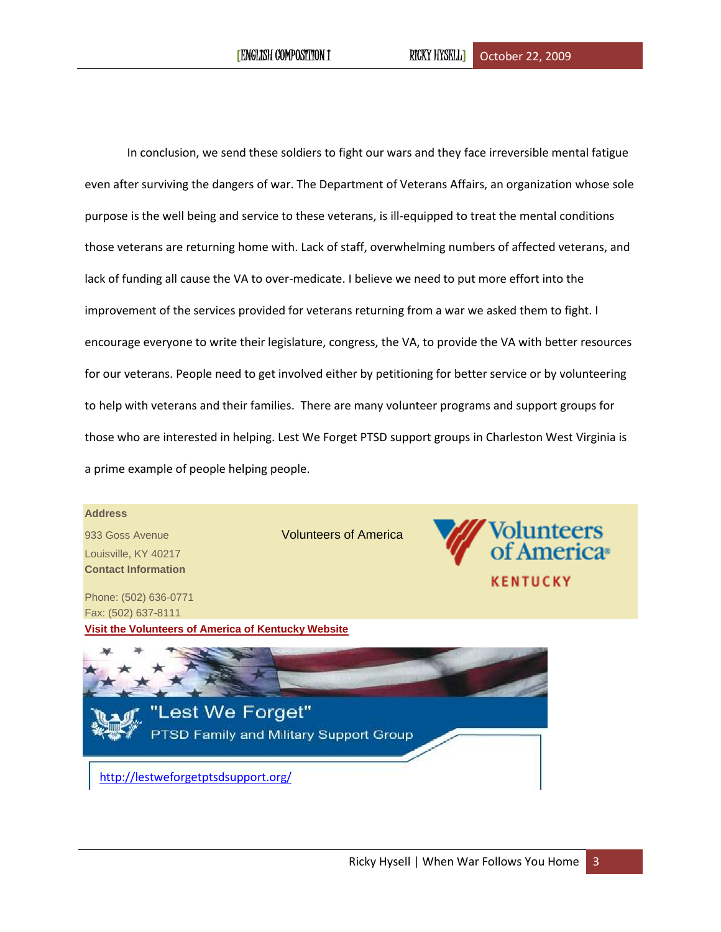In conclusion, we send these soldiers to fight our wars and they face irreversible mental fatigue even after surviving the dangers of war. The Department of Veterans Affairs, an organization whose sole purpose is the well being and service to these veterans, is ill-equipped to treat the mental conditions those veterans are returning home with. Lack of staff, overwhelming numbers of affected veterans, and lack of funding all cause the VA to over-medicate. I believe we need to put more effort into the improvement of the services provided for veterans returning from a war we asked them to fight. I encourage everyone to write their legislature, congress, the VA, to provide the VA with better resources for our veterans. People need to get involved either by petitioning for better service or by volunteering to help with veterans and their families. There are many volunteer programs and support groups for those who are interested in helping. Lest We Forget PTSD support groups in Charleston West Virginia is a prime example of people helping people.

## **Address**

933 Goss Avenue Volunteers of America Louisville, KY 40217 **Contact Information**

Phone: (502) 636-0771 Fax: (502) 637-8111 **[Visit the Volunteers of America of Kentucky Website](http://www.voaky.org/)**





 [http://lestweforgetptsdsupport.org/](http://lestweforgetptsdsupport.org/default.html)